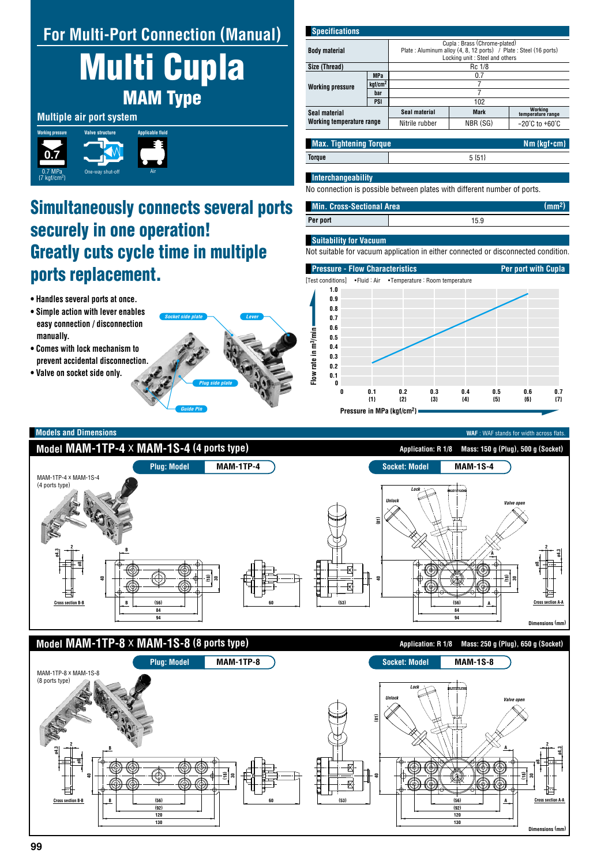## **For Multi-Port Connection (Manual)**

Multi Cupla MAM Type

## **Multiple air port system**



# Simultaneously connects several ports securely in one operation! Greatly cuts cycle time in multiple ports replacement.

**120 130**

- **Handles several ports at once.**
- **Simple action with lever enables easy connection / disconnection manually.**
- **Comes with lock mechanism to prevent accidental disconnection.**
- **Valve on socket side only.**



| <b>Specifications</b>                             |                     |                                                                                                    |             |                                    |
|---------------------------------------------------|---------------------|----------------------------------------------------------------------------------------------------|-------------|------------------------------------|
| <b>Body material</b>                              |                     | Cupla: Brass (Chrome-plated)                                                                       |             |                                    |
|                                                   |                     | Plate: Aluminum alloy (4, 8, 12 ports) / Plate: Steel (16 ports)<br>Locking unit: Steel and others |             |                                    |
| Size (Thread)                                     |                     | Rc 1/8                                                                                             |             |                                    |
| <b>Working pressure</b>                           | <b>MPa</b>          | 0.7                                                                                                |             |                                    |
|                                                   | kgf/cm <sup>2</sup> |                                                                                                    |             |                                    |
|                                                   | bar                 | 7                                                                                                  |             |                                    |
|                                                   | PSI                 | 102                                                                                                |             |                                    |
| Seal material<br><b>Working temperature range</b> |                     | Seal material                                                                                      | <b>Mark</b> | Working<br>temperature range       |
|                                                   |                     | Nitrile rubber                                                                                     | NBR (SG)    | $-20^{\circ}$ C to $+60^{\circ}$ C |

### **Torque** 5 {51} **Max. Tightening Torque Nm**  $\{kgf \cdot cm\}$

**Dimensions (mm)**

**120 130**

### **Interchangeability**

No connection is possible between plates with different number of ports.

## **Per port** 15.9 **Min. Cross-Sectional Area (mm2)**

#### **Suitability for Vacuum**

Not suitable for vacuum application in either connected or disconnected condition.



**Dimensions (mm) Model MAM-1TP-4**  $\times$  **MAM-1S-4** (4 ports type) **Application: R** 1/8 Mass: 150 g (Plug), 500 g (Socket) **Model MAM-1TP-8**  $\times$  **MAM-1S-8** (8 ports type) **Application: R 1/8** Mass: 250 g (Plug), 650 g (Socket) **Plug: Model MAM-1TP-4 Socket: Model MAM-1S-4 Plug: Model MAM-1TP-8 Socket: Model MAM-1S-8 60 60** MAM-1TP-4 x MAM-1S-4 (4 ports type) MAM-1TP-8 x MAM-1S-8 (8 ports type) **(53) (53) e8 b**<br> **e b**<br> **e o** *m*<br> **e** *m*<br> **e** *m*<br> **e** *m*<br> **e** *m*<br> **e** *m*<br> **e** *m*<br> **e** *m* **2 Cross section A-A ø8 ø4.3 2 Cross section B-Bø8 ø4.3 2 Cross section B-B**<br>Cross section B-B **2 40 30 (18) (56) 84 94 B B** *Lock Unlock Valve open* **(56) 84 94 (81) 40 30 (18) A A 40 30 (18) (56) (92) B B** *Lock Unlock Valve open* **(81) 40 (56) (92) 30 (18) A A**

**Models and Dimensions** WAF : WAF stands for width across flats.